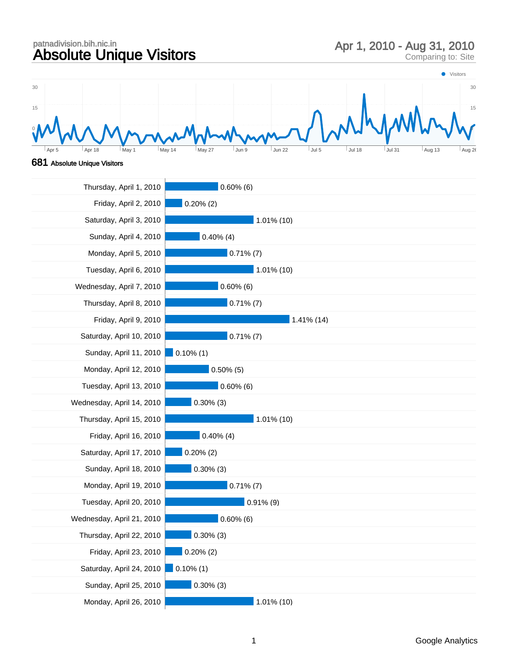## patnadivision.bih.nic.in<br>Absolute Unique Visitors Apr 1, 2010 - Aug 31, 2010<br>Comparing to: Site

T



## 681 Absolute Unique Visitors

| Thursday, April 1, 2010   | $0.60\%$ (6)  |
|---------------------------|---------------|
| Friday, April 2, 2010     | $0.20\%$ (2)  |
| Saturday, April 3, 2010   | $1.01\%$ (10) |
| Sunday, April 4, 2010     | $0.40\%$ (4)  |
| Monday, April 5, 2010     | $0.71\%$ (7)  |
| Tuesday, April 6, 2010    | 1.01% (10)    |
| Wednesday, April 7, 2010  | $0.60\%$ (6)  |
| Thursday, April 8, 2010   | $0.71\%$ (7)  |
| Friday, April 9, 2010     | 1.41% (14)    |
| Saturday, April 10, 2010  | $0.71\%$ (7)  |
| Sunday, April 11, 2010    | $0.10\%$ (1)  |
| Monday, April 12, 2010    | $0.50\%$ (5)  |
| Tuesday, April 13, 2010   | $0.60\%$ (6)  |
| Wednesday, April 14, 2010 | $0.30\%$ (3)  |
| Thursday, April 15, 2010  | 1.01% (10)    |
| Friday, April 16, 2010    | $0.40\%$ (4)  |
| Saturday, April 17, 2010  | $0.20\%$ (2)  |
| Sunday, April 18, 2010    | $0.30\%$ (3)  |
| Monday, April 19, 2010    | $0.71\%$ (7)  |
| Tuesday, April 20, 2010   | $0.91\%$ (9)  |
| Wednesday, April 21, 2010 | $0.60\%$ (6)  |
| Thursday, April 22, 2010  | $0.30\%$ (3)  |
| Friday, April 23, 2010    | $0.20\%$ (2)  |
| Saturday, April 24, 2010  | $0.10\%$ (1)  |
| Sunday, April 25, 2010    | $0.30\%$ (3)  |
| Monday, April 26, 2010    | 1.01% (10)    |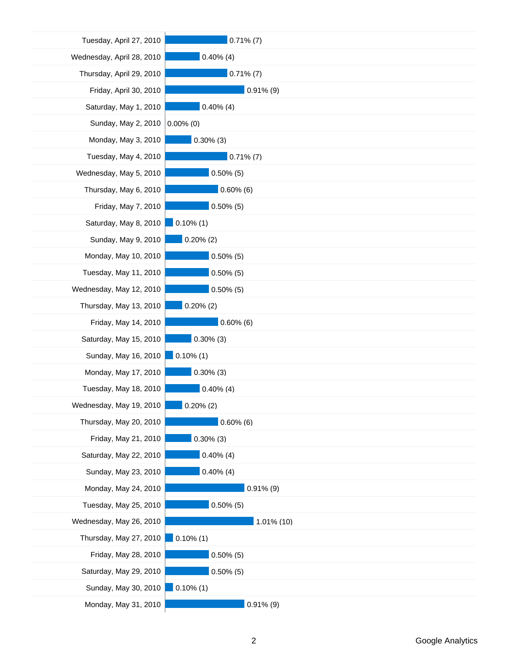| Tuesday, April 27, 2010   | $0.71\%$ (7) |
|---------------------------|--------------|
| Wednesday, April 28, 2010 | $0.40\%$ (4) |
| Thursday, April 29, 2010  | $0.71\%$ (7) |
| Friday, April 30, 2010    | $0.91\%$ (9) |
| Saturday, May 1, 2010     | $0.40\%$ (4) |
| Sunday, May 2, 2010       | $0.00\%$ (0) |
| Monday, May 3, 2010       | $0.30\%$ (3) |
| Tuesday, May 4, 2010      | $0.71\%$ (7) |
| Wednesday, May 5, 2010    | $0.50\%$ (5) |
| Thursday, May 6, 2010     | $0.60\%$ (6) |
| Friday, May 7, 2010       | $0.50\%$ (5) |
| Saturday, May 8, 2010     | $0.10\%$ (1) |
| Sunday, May 9, 2010       | $0.20\%$ (2) |
| Monday, May 10, 2010      | $0.50\%$ (5) |
| Tuesday, May 11, 2010     | $0.50\%$ (5) |
| Wednesday, May 12, 2010   | $0.50\%$ (5) |
| Thursday, May 13, 2010    | $0.20\%$ (2) |
| Friday, May 14, 2010      | $0.60\%$ (6) |
| Saturday, May 15, 2010    | $0.30\%$ (3) |
| Sunday, May 16, 2010      | $0.10\%$ (1) |
| Monday, May 17, 2010      | $0.30\%$ (3) |
| Tuesday, May 18, 2010     | $0.40\%$ (4) |
| Wednesday, May 19, 2010   | $0.20\%$ (2) |
| Thursday, May 20, 2010    | $0.60\%$ (6) |
| Friday, May 21, 2010      | $0.30\%$ (3) |
| Saturday, May 22, 2010    | $0.40\%$ (4) |
| Sunday, May 23, 2010      | $0.40\%$ (4) |
| Monday, May 24, 2010      | $0.91\%$ (9) |
| Tuesday, May 25, 2010     | $0.50\%$ (5) |
| Wednesday, May 26, 2010   | 1.01% (10)   |
| Thursday, May 27, 2010    | $0.10\%$ (1) |
| Friday, May 28, 2010      | $0.50\%$ (5) |
| Saturday, May 29, 2010    | $0.50\%$ (5) |
| Sunday, May 30, 2010      | $0.10\%$ (1) |
| Monday, May 31, 2010      | $0.91\%$ (9) |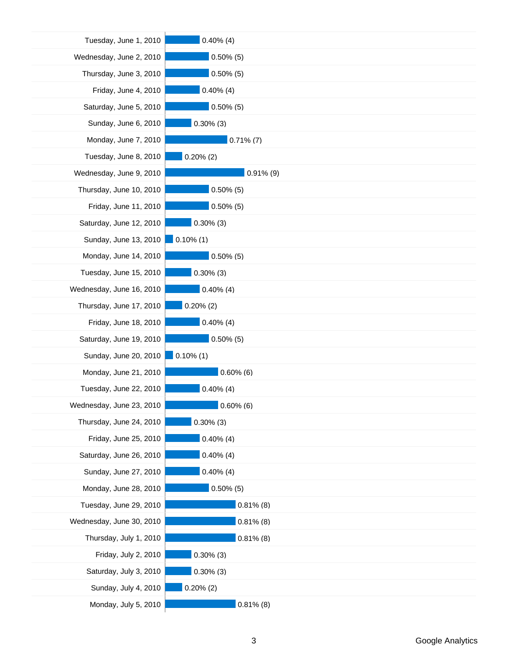| Tuesday, June 1, 2010    | $0.40\%$ (4) |
|--------------------------|--------------|
| Wednesday, June 2, 2010  | $0.50\%$ (5) |
| Thursday, June 3, 2010   | $0.50\%$ (5) |
| Friday, June 4, 2010     | $0.40\%$ (4) |
| Saturday, June 5, 2010   | $0.50\%$ (5) |
| Sunday, June 6, 2010     | $0.30\%$ (3) |
| Monday, June 7, 2010     | $0.71\%$ (7) |
| Tuesday, June 8, 2010    | $0.20\%$ (2) |
| Wednesday, June 9, 2010  | $0.91\%$ (9) |
| Thursday, June 10, 2010  | $0.50\%$ (5) |
| Friday, June 11, 2010    | $0.50\%$ (5) |
| Saturday, June 12, 2010  | $0.30\%$ (3) |
| Sunday, June 13, 2010    | $0.10\%$ (1) |
| Monday, June 14, 2010    | $0.50\%$ (5) |
| Tuesday, June 15, 2010   | $0.30\%$ (3) |
| Wednesday, June 16, 2010 | $0.40\%$ (4) |
| Thursday, June 17, 2010  | $0.20\%$ (2) |
| Friday, June 18, 2010    | $0.40\%$ (4) |
| Saturday, June 19, 2010  | $0.50\%$ (5) |
| Sunday, June 20, 2010    | $0.10\%$ (1) |
| Monday, June 21, 2010    | $0.60\%$ (6) |
| Tuesday, June 22, 2010   | $0.40\%$ (4) |
| Wednesday, June 23, 2010 | $0.60\%$ (6) |
| Thursday, June 24, 2010  | $0.30\%$ (3) |
| Friday, June 25, 2010    | $0.40\%$ (4) |
| Saturday, June 26, 2010  | $0.40\%$ (4) |
| Sunday, June 27, 2010    | $0.40\%$ (4) |
| Monday, June 28, 2010    | $0.50\%$ (5) |
| Tuesday, June 29, 2010   | $0.81\%$ (8) |
| Wednesday, June 30, 2010 | $0.81\%$ (8) |
| Thursday, July 1, 2010   | $0.81\%$ (8) |
| Friday, July 2, 2010     | $0.30\%$ (3) |
| Saturday, July 3, 2010   | $0.30\%$ (3) |
| Sunday, July 4, 2010     | $0.20\%$ (2) |
| Monday, July 5, 2010     | $0.81\%$ (8) |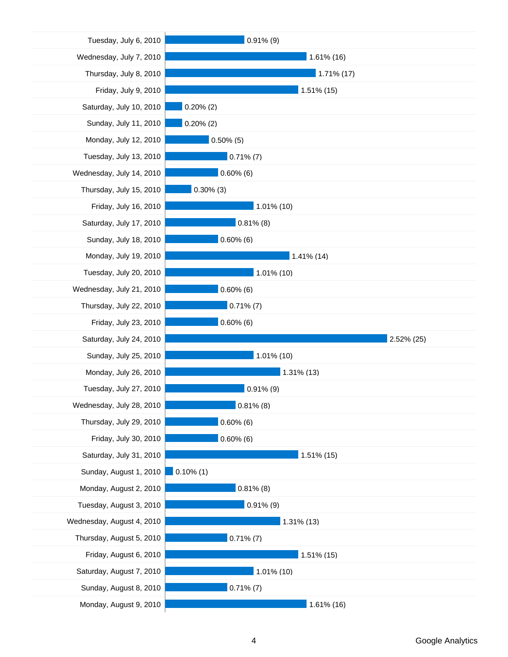